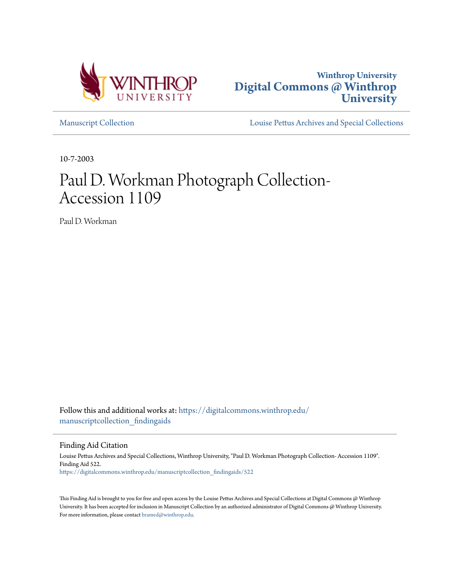



[Manuscript Collection](https://digitalcommons.winthrop.edu/manuscriptcollection_findingaids?utm_source=digitalcommons.winthrop.edu%2Fmanuscriptcollection_findingaids%2F522&utm_medium=PDF&utm_campaign=PDFCoverPages) [Louise Pettus Archives and Special Collections](https://digitalcommons.winthrop.edu/pettus_archives?utm_source=digitalcommons.winthrop.edu%2Fmanuscriptcollection_findingaids%2F522&utm_medium=PDF&utm_campaign=PDFCoverPages)

10-7-2003

# Paul D. Workman Photograph Collection-Accession 1109

Paul D. Workman

Follow this and additional works at: [https://digitalcommons.winthrop.edu/](https://digitalcommons.winthrop.edu/manuscriptcollection_findingaids?utm_source=digitalcommons.winthrop.edu%2Fmanuscriptcollection_findingaids%2F522&utm_medium=PDF&utm_campaign=PDFCoverPages) manuscriptcollection findingaids

Finding Aid Citation

Louise Pettus Archives and Special Collections, Winthrop University, "Paul D. Workman Photograph Collection- Accession 1109". Finding Aid 522. [https://digitalcommons.winthrop.edu/manuscriptcollection\\_findingaids/522](https://digitalcommons.winthrop.edu/manuscriptcollection_findingaids/522?utm_source=digitalcommons.winthrop.edu%2Fmanuscriptcollection_findingaids%2F522&utm_medium=PDF&utm_campaign=PDFCoverPages)

This Finding Aid is brought to you for free and open access by the Louise Pettus Archives and Special Collections at Digital Commons @ Winthrop University. It has been accepted for inclusion in Manuscript Collection by an authorized administrator of Digital Commons @ Winthrop University. For more information, please contact [bramed@winthrop.edu.](mailto:bramed@winthrop.edu)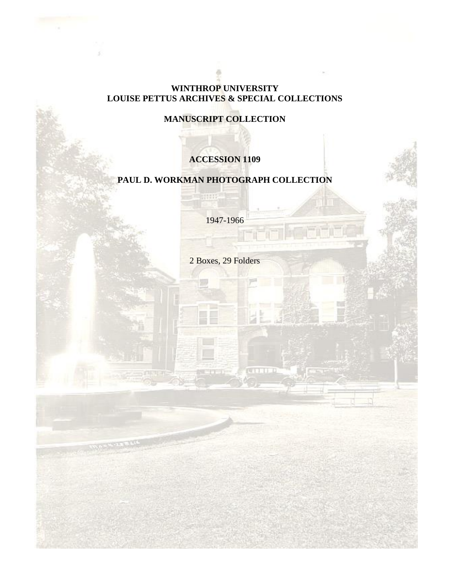#### **WINTHROP UNIVERSITY LOUISE PETTUS ARCHIVES & SPECIAL COLLECTIONS**

## **MANUSCRIPT COLLECTION**

## **ACCESSION 1109**

# **PAUL D. WORKMAN PHOTOGRAPH COLLECTION**

statt

1947-1966

2 Boxes, 29 Folders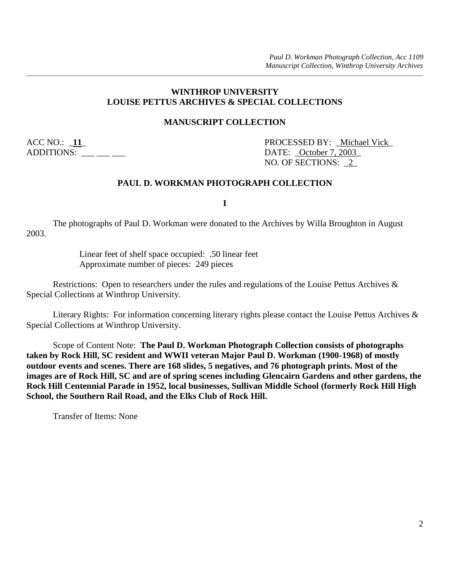#### **WINTHROP UNIVERSITY LOUISE PETTUS ARCHIVES & SPECIAL COLLECTIONS**

#### **MANUSCRIPT COLLECTION**

ADDITIONS: \_\_\_ \_\_ \_\_ \_\_\_ DATE: \_October 7, 2003\_

ACC NO.:  $\angle$  11\_ PROCESSED BY: \_Michael Vick\_ NO. OF SECTIONS: \_2\_

#### **PAUL D. WORKMAN PHOTOGRAPH COLLECTION**

**I**

The photographs of Paul D. Workman were donated to the Archives by Willa Broughton in August 2003.

> Linear feet of shelf space occupied: .50 linear feet Approximate number of pieces: 249 pieces

Restrictions: Open to researchers under the rules and regulations of the Louise Pettus Archives & Special Collections at Winthrop University.

Literary Rights: For information concerning literary rights please contact the Louise Pettus Archives & Special Collections at Winthrop University.

Scope of Content Note: **The Paul D. Workman Photograph Collection consists of photographs taken by Rock Hill, SC resident and WWII veteran Major Paul D. Workman (1900-1968) of mostly outdoor events and scenes. There are 168 slides, 5 negatives, and 76 photograph prints. Most of the images are of Rock Hill, SC and are of spring scenes including Glencairn Gardens and other gardens, the Rock Hill Centennial Parade in 1952, local businesses, Sullivan Middle School (formerly Rock Hill High School, the Southern Rail Road, and the Elks Club of Rock Hill.**

Transfer of Items: None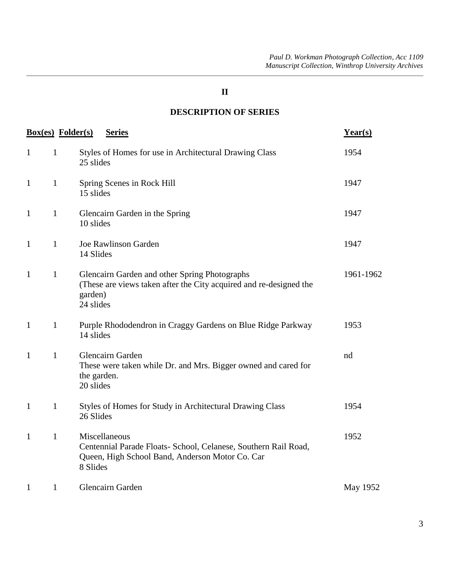#### **II**

## **DESCRIPTION OF SERIES**

|                              | <b>Box(es)</b> Folder(s) | <b>Series</b>                                                                                                                                   | Year(s)   |
|------------------------------|--------------------------|-------------------------------------------------------------------------------------------------------------------------------------------------|-----------|
| $\mathbf{1}$<br>$\mathbf{1}$ |                          | Styles of Homes for use in Architectural Drawing Class<br>25 slides                                                                             | 1954      |
| $\mathbf{1}$<br>$\mathbf{1}$ |                          | Spring Scenes in Rock Hill<br>15 slides                                                                                                         | 1947      |
| $\mathbf{1}$<br>$\mathbf{1}$ |                          | Glencairn Garden in the Spring<br>10 slides                                                                                                     | 1947      |
| $\mathbf{1}$<br>$\mathbf{1}$ |                          | <b>Joe Rawlinson Garden</b><br>14 Slides                                                                                                        | 1947      |
| $\mathbf{1}$<br>$\mathbf{1}$ |                          | Glencairn Garden and other Spring Photographs<br>(These are views taken after the City acquired and re-designed the<br>garden)<br>24 slides     | 1961-1962 |
| $\mathbf{1}$<br>$\mathbf{1}$ |                          | Purple Rhododendron in Craggy Gardens on Blue Ridge Parkway<br>14 slides                                                                        | 1953      |
| $\mathbf{1}$<br>$\mathbf{1}$ |                          | Glencairn Garden<br>These were taken while Dr. and Mrs. Bigger owned and cared for<br>the garden.<br>20 slides                                  | nd        |
| $\mathbf{1}$<br>$\mathbf{1}$ |                          | Styles of Homes for Study in Architectural Drawing Class<br>26 Slides                                                                           | 1954      |
| $\mathbf{1}$<br>$\mathbf{1}$ |                          | Miscellaneous<br>Centennial Parade Floats- School, Celanese, Southern Rail Road,<br>Queen, High School Band, Anderson Motor Co. Car<br>8 Slides | 1952      |
| $\mathbf{1}$<br>$\mathbf{1}$ |                          | Glencairn Garden                                                                                                                                | May 1952  |